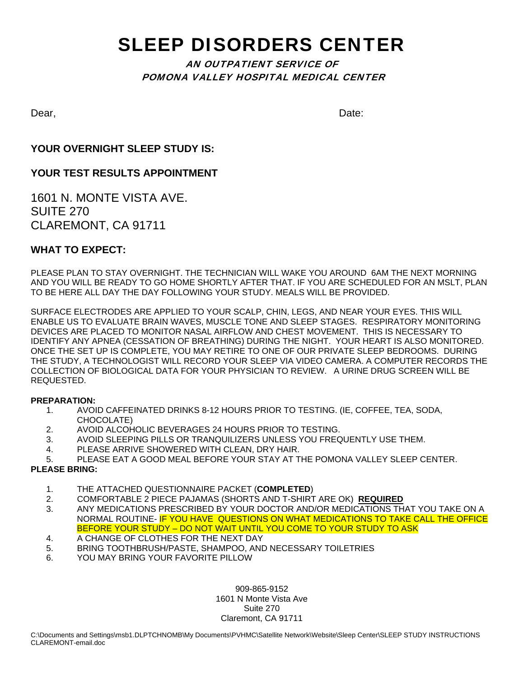# SLEEP DISORDERS CENTER

# AN OUTPATIENT SERVICE OF POMONA VALLEY HOSPITAL MEDICAL CENTER

Dear, **Dear**,

### **YOUR OVERNIGHT SLEEP STUDY IS:**

### **YOUR TEST RESULTS APPOINTMENT**

1601 N. MONTE VISTA AVE. SUITE 270 CLAREMONT, CA 91711

### **WHAT TO EXPECT:**

PLEASE PLAN TO STAY OVERNIGHT. THE TECHNICIAN WILL WAKE YOU AROUND 6AM THE NEXT MORNING AND YOU WILL BE READY TO GO HOME SHORTLY AFTER THAT. IF YOU ARE SCHEDULED FOR AN MSLT, PLAN TO BE HERE ALL DAY THE DAY FOLLOWING YOUR STUDY. MEALS WILL BE PROVIDED.

SURFACE ELECTRODES ARE APPLIED TO YOUR SCALP, CHIN, LEGS, AND NEAR YOUR EYES. THIS WILL ENABLE US TO EVALUATE BRAIN WAVES, MUSCLE TONE AND SLEEP STAGES. RESPIRATORY MONITORING DEVICES ARE PLACED TO MONITOR NASAL AIRFLOW AND CHEST MOVEMENT. THIS IS NECESSARY TO IDENTIFY ANY APNEA (CESSATION OF BREATHING) DURING THE NIGHT. YOUR HEART IS ALSO MONITORED. ONCE THE SET UP IS COMPLETE, YOU MAY RETIRE TO ONE OF OUR PRIVATE SLEEP BEDROOMS. DURING THE STUDY, A TECHNOLOGIST WILL RECORD YOUR SLEEP VIA VIDEO CAMERA. A COMPUTER RECORDS THE COLLECTION OF BIOLOGICAL DATA FOR YOUR PHYSICIAN TO REVIEW. A URINE DRUG SCREEN WILL BE REQUESTED.

#### **PREPARATION:**

- 1. AVOID CAFFEINATED DRINKS 8-12 HOURS PRIOR TO TESTING. (IE, COFFEE, TEA, SODA, CHOCOLATE)
- 2. AVOID ALCOHOLIC BEVERAGES 24 HOURS PRIOR TO TESTING.
- 3. AVOID SLEEPING PILLS OR TRANQUILIZERS UNLESS YOU FREQUENTLY USE THEM.
- 4. PLEASE ARRIVE SHOWERED WITH CLEAN, DRY HAIR.
- 5. PLEASE EAT A GOOD MEAL BEFORE YOUR STAY AT THE POMONA VALLEY SLEEP CENTER.

#### **PLEASE BRING:**

- 1. THE ATTACHED QUESTIONNAIRE PACKET (**COMPLETED**)
- 2. COMFORTABLE 2 PIECE PAJAMAS (SHORTS AND T-SHIRT ARE OK) **REQUIRED**
- 3. ANY MEDICATIONS PRESCRIBED BY YOUR DOCTOR AND/OR MEDICATIONS THAT YOU TAKE ON A NORMAL ROUTINE- IF YOU HAVE QUESTIONS ON WHAT MEDICATIONS TO TAKE CALL THE OFFICE BEFORE YOUR STUDY – DO NOT WAIT UNTIL YOU COME TO YOUR STUDY TO ASK
- 4. A CHANGE OF CLOTHES FOR THE NEXT DAY
- 5. BRING TOOTHBRUSH/PASTE, SHAMPOO, AND NECESSARY TOILETRIES
- 6. YOU MAY BRING YOUR FAVORITE PILLOW

909-865-9152 1601 N Monte Vista Ave Suite 270 Claremont, CA 91711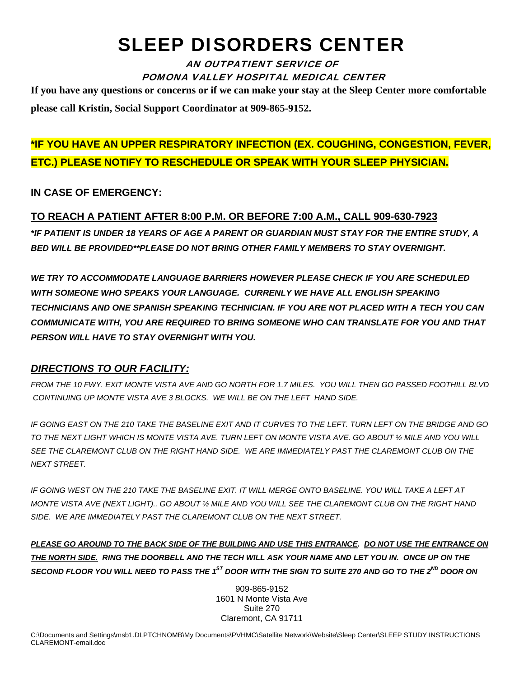# SLEEP DISORDERS CENTER

AN OUTPATIENT SERVICE OF POMONA VALLEY HOSPITAL MEDICAL CENTER

**If you have any questions or concerns or if we can make your stay at the Sleep Center more comfortable please call Kristin, Social Support Coordinator at 909-865-9152.** 

# **\*IF YOU HAVE AN UPPER RESPIRATORY INFECTION (EX. COUGHING, CONGESTION, FEVER, ETC.) PLEASE NOTIFY TO RESCHEDULE OR SPEAK WITH YOUR SLEEP PHYSICIAN.**

## **IN CASE OF EMERGENCY:**

# **TO REACH A PATIENT AFTER 8:00 P.M. OR BEFORE 7:00 A.M., CALL 909-630-7923**

*\*IF PATIENT IS UNDER 18 YEARS OF AGE A PARENT OR GUARDIAN MUST STAY FOR THE ENTIRE STUDY, A BED WILL BE PROVIDED\*\*PLEASE DO NOT BRING OTHER FAMILY MEMBERS TO STAY OVERNIGHT.* 

*WE TRY TO ACCOMMODATE LANGUAGE BARRIERS HOWEVER PLEASE CHECK IF YOU ARE SCHEDULED WITH SOMEONE WHO SPEAKS YOUR LANGUAGE. CURRENLY WE HAVE ALL ENGLISH SPEAKING TECHNICIANS AND ONE SPANISH SPEAKING TECHNICIAN. IF YOU ARE NOT PLACED WITH A TECH YOU CAN COMMUNICATE WITH, YOU ARE REQUIRED TO BRING SOMEONE WHO CAN TRANSLATE FOR YOU AND THAT PERSON WILL HAVE TO STAY OVERNIGHT WITH YOU.* 

# *DIRECTIONS TO OUR FACILITY:*

*FROM THE 10 FWY. EXIT MONTE VISTA AVE AND GO NORTH FOR 1.7 MILES. YOU WILL THEN GO PASSED FOOTHILL BLVD CONTINUING UP MONTE VISTA AVE 3 BLOCKS. WE WILL BE ON THE LEFT HAND SIDE.* 

*IF GOING EAST ON THE 210 TAKE THE BASELINE EXIT AND IT CURVES TO THE LEFT. TURN LEFT ON THE BRIDGE AND GO TO THE NEXT LIGHT WHICH IS MONTE VISTA AVE. TURN LEFT ON MONTE VISTA AVE. GO ABOUT ½ MILE AND YOU WILL SEE THE CLAREMONT CLUB ON THE RIGHT HAND SIDE. WE ARE IMMEDIATELY PAST THE CLAREMONT CLUB ON THE NEXT STREET.* 

*IF GOING WEST ON THE 210 TAKE THE BASELINE EXIT. IT WILL MERGE ONTO BASELINE. YOU WILL TAKE A LEFT AT MONTE VISTA AVE (NEXT LIGHT).. GO ABOUT ½ MILE AND YOU WILL SEE THE CLAREMONT CLUB ON THE RIGHT HAND SIDE. WE ARE IMMEDIATELY PAST THE CLAREMONT CLUB ON THE NEXT STREET.* 

*PLEASE GO AROUND TO THE BACK SIDE OF THE BUILDING AND USE THIS ENTRANCE. DO NOT USE THE ENTRANCE ON THE NORTH SIDE. RING THE DOORBELL AND THE TECH WILL ASK YOUR NAME AND LET YOU IN. ONCE UP ON THE SECOND FLOOR YOU WILL NEED TO PASS THE 1ST DOOR WITH THE SIGN TO SUITE 270 AND GO TO THE 2ND DOOR ON* 

> 909-865-9152 1601 N Monte Vista Ave Suite 270 Claremont, CA 91711